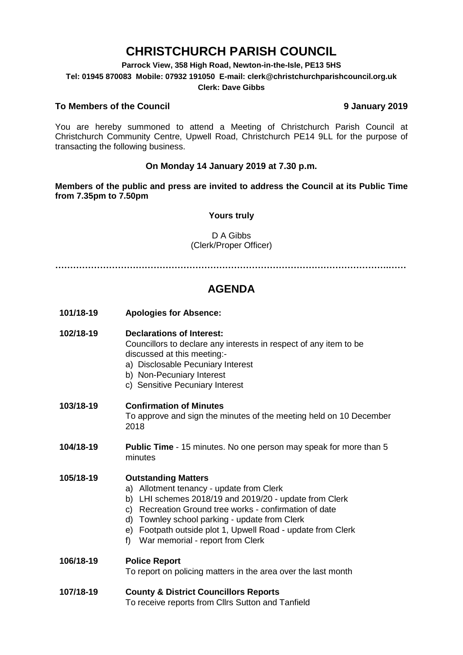# **CHRISTCHURCH PARISH COUNCIL**

**Parrock View, 358 High Road, Newton-in-the-Isle, PE13 5HS**

**Tel: 01945 870083 Mobile: 07932 191050 E-mail: clerk@christchurchparishcouncil.org.uk**

#### **Clerk: Dave Gibbs**

#### **To Members of the Council 9 January 2019**

You are hereby summoned to attend a Meeting of Christchurch Parish Council at Christchurch Community Centre, Upwell Road, Christchurch PE14 9LL for the purpose of transacting the following business.

#### **On Monday 14 January 2019 at 7.30 p.m.**

**Members of the public and press are invited to address the Council at its Public Time from 7.35pm to 7.50pm**

#### **Yours truly**

#### D A Gibbs (Clerk/Proper Officer)

**………………………………………………………………………………………………….……**

## **AGENDA**

**101/18-19 Apologies for Absence:** 

#### **102/18-19 Declarations of Interest:**

Councillors to declare any interests in respect of any item to be discussed at this meeting:-

- a) Disclosable Pecuniary Interest
- b) Non-Pecuniary Interest
- c) Sensitive Pecuniary Interest

#### **103/18-19 Confirmation of Minutes**

To approve and sign the minutes of the meeting held on 10 December 2018

**104/18-19 Public Time** - 15 minutes. No one person may speak for more than 5 minutes

#### **105/18-19 Outstanding Matters**

- a) Allotment tenancy update from Clerk
- b) LHI schemes 2018/19 and 2019/20 update from Clerk
- c) Recreation Ground tree works confirmation of date
- d) Townley school parking update from Clerk
- e) Footpath outside plot 1, Upwell Road update from Clerk
- f) War memorial report from Clerk

#### **106/18-19 Police Report**

To report on policing matters in the area over the last month

### **107/18-19 County & District Councillors Reports**

To receive reports from Cllrs Sutton and Tanfield